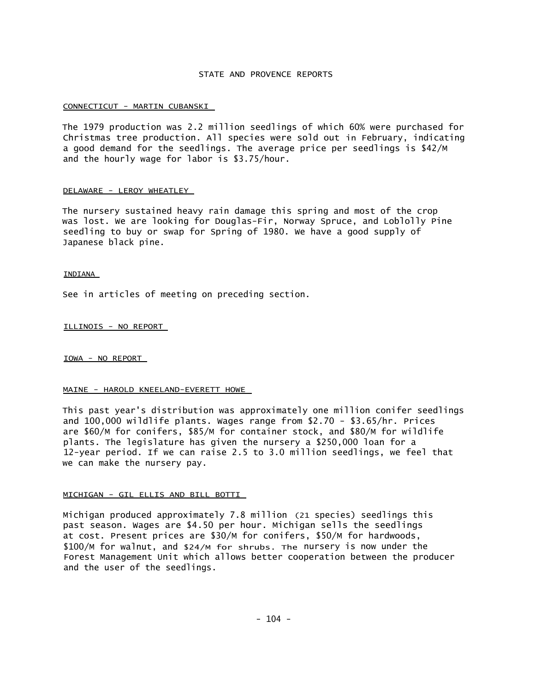# STATE AND PROVENCE REPORTS

#### CONNECTICUT - MARTIN CUBANSKI

The 1979 production was 2.2 million seedlings of which 60% were purchased for Christmas tree production. All species were sold out in February, indicating a good demand for the seedlings. The average price per seedlings is \$42/M and the hourly wage for labor is \$3.75/hour.

#### DELAWARE - LEROY WHEATLEY

The nursery sustained heavy rain damage this spring and most of the crop was lost. We are looking for Douglas-Fir, Norway Spruce, and Loblolly Pine seedling to buy or swap for Spring of 1980. We have a good supply of Japanese black pine.

#### INDIANA

See in articles of meeting on preceding section.

ILLINOIS - NO REPORT

IOWA - NO REPORT

#### MAINE - HAROLD KNEELAND-EVERETT HOWE

This past year's distribution was approximately one million conifer seedlings and 100,000 wildlife plants. Wages range from \$2.70 - \$3.65/hr. Prices are \$60/M for conifers, \$85/M for container stock, and \$80/M for wildlife plants. The legislature has given the nursery a \$250,000 loan for a 12-year period. If we can raise 2.5 to 3.0 million seedlings, we feel that we can make the nursery pay.

#### MICHIGAN - GIL ELLIS AND BILL BOTTI

Michigan produced approximately 7.8 million (21 species) seedlings this past season. Wages are \$4.50 per hour. Michigan sells the seedlings at cost. Present prices are \$30/M for conifers, \$50/M for hardwoods, \$100/M for walnut, and \$24/M for shrubs. The nursery is now under the Forest Management Unit which allows better cooperation between the producer and the user of the seedlings.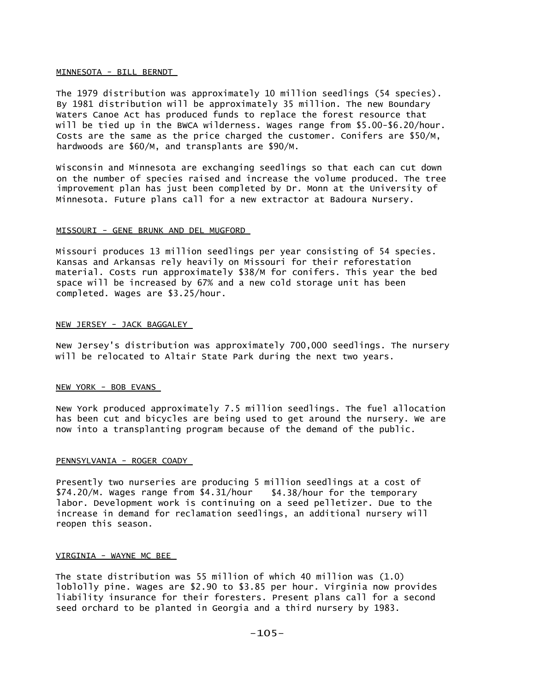#### MINNESOTA - BILL BERNDT

The 1979 distribution was approximately 10 million seedlings (54 species). By 1981 distribution will be approximately 35 million. The new Boundary Waters Canoe Act has produced funds to replace the forest resource that will be tied up in the BWCA wilderness. Wages range from \$5.00-\$6.20/hour. Costs are the same as the price charged the customer. Conifers are \$50/M, hardwoods are \$60/M, and transplants are \$90/M.

Wisconsin and Minnesota are exchanging seedlings so that each can cut down on the number of species raised and increase the volume produced. The tree improvement plan has just been completed by Dr. Monn at the University of Minnesota. Future plans call for a new extractor at Badoura Nursery.

## MISSOURI - GENE BRUNK AND DEL MUGFORD

Missouri produces 13 million seedlings per year consisting of 54 species. Kansas and Arkansas rely heavily on Missouri for their reforestation material. Costs run approximately \$38/M for conifers. This year the bed space will be increased by 67% and a new cold storage unit has been completed. Wages are \$3.25/hour.

## NEW JERSEY - JACK BAGGALEY

New Jersey's distribution was approximately 700,000 seedlings. The nursery will be relocated to Altair State Park during the next two years.

## NEW YORK - BOB EVANS

New York produced approximately 7.5 million seedlings. The fuel allocation has been cut and bicycles are being used to get around the nursery. We are now into a transplanting program because of the demand of the public.

## PENNSYLVANIA - ROGER COADY

Presently two nurseries are producing 5 million seedlings at a cost of \$74.20/M. Wages range from \$4.31/hour \$4.38/hour for the temporary labor. Development work is continuing on a seed pelletizer. Due to the increase in demand for reclamation seedlings, an additional nursery will reopen this season.

## VIRGINIA - WAYNE MC BEE

The state distribution was 55 million of which 40 million was (1.0) loblolly pine. Wages are \$2.90 to \$3.85 per hour. Virginia now provides liability insurance for their foresters. Present plans call for a second seed orchard to be planted in Georgia and a third nursery by 1983.